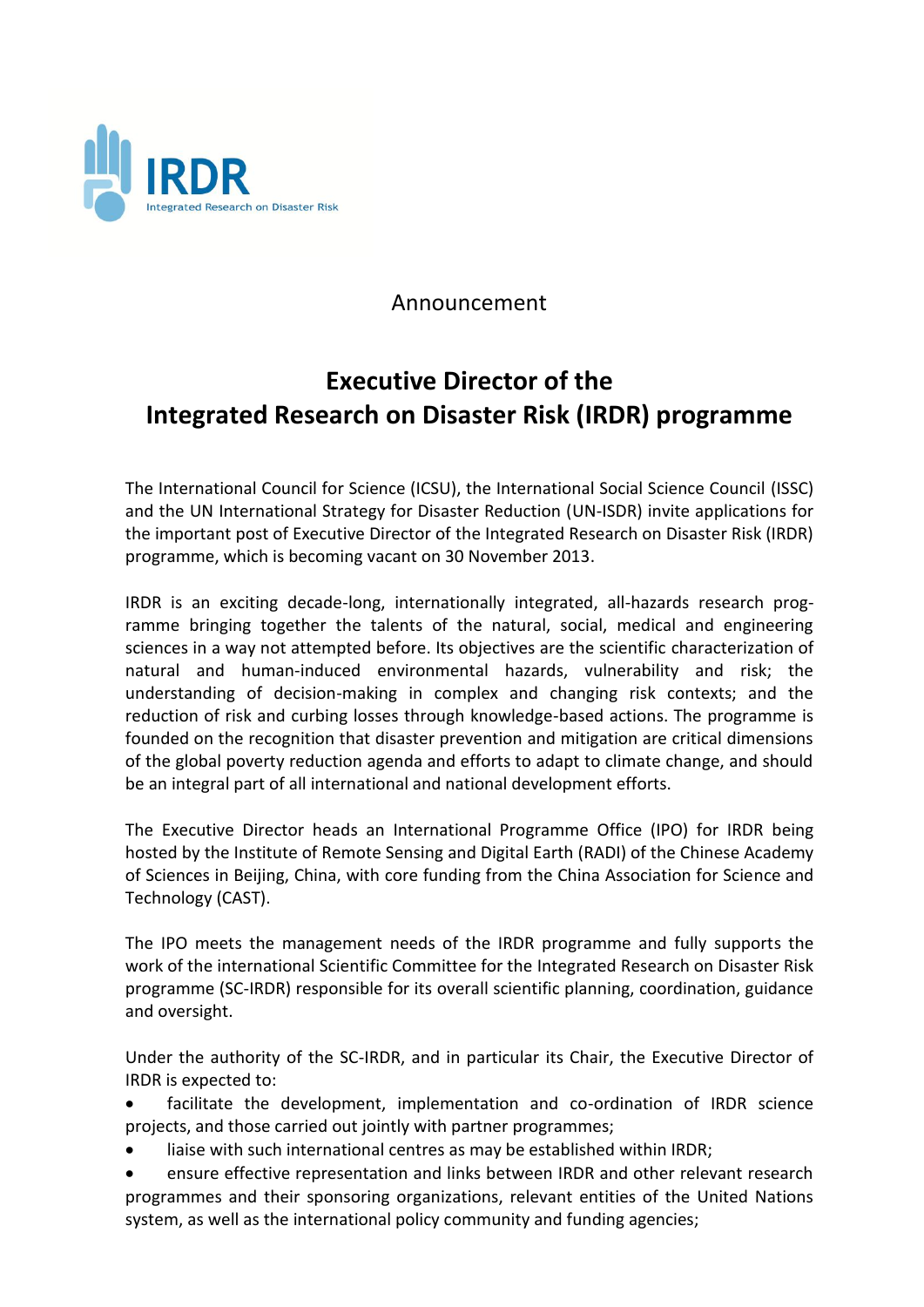

## Announcement

## **Executive Director of the Integrated Research on Disaster Risk (IRDR) programme**

The International Council for Science (ICSU), the International Social Science Council (ISSC) and the UN International Strategy for Disaster Reduction (UN-ISDR) invite applications for the important post of Executive Director of the Integrated Research on Disaster Risk (IRDR) programme, which is becoming vacant on 30 November 2013.

IRDR is an exciting decade-long, internationally integrated, all-hazards research programme bringing together the talents of the natural, social, medical and engineering sciences in a way not attempted before. Its objectives are the scientific characterization of natural and human-induced environmental hazards, vulnerability and risk; the understanding of decision-making in complex and changing risk contexts; and the reduction of risk and curbing losses through knowledge-based actions. The programme is founded on the recognition that disaster prevention and mitigation are critical dimensions of the global poverty reduction agenda and efforts to adapt to climate change, and should be an integral part of all international and national development efforts.

The Executive Director heads an International Programme Office (IPO) for IRDR being hosted by the Institute of Remote Sensing and Digital Earth (RADI) of the Chinese Academy of Sciences in Beijing, China, with core funding from the China Association for Science and Technology (CAST).

The IPO meets the management needs of the IRDR programme and fully supports the work of the international Scientific Committee for the Integrated Research on Disaster Risk programme (SC-IRDR) responsible for its overall scientific planning, coordination, guidance and oversight.

Under the authority of the SC-IRDR, and in particular its Chair, the Executive Director of IRDR is expected to:

 facilitate the development, implementation and co-ordination of IRDR science projects, and those carried out jointly with partner programmes;

- liaise with such international centres as may be established within IRDR;
- ensure effective representation and links between IRDR and other relevant research programmes and their sponsoring organizations, relevant entities of the United Nations system, as well as the international policy community and funding agencies;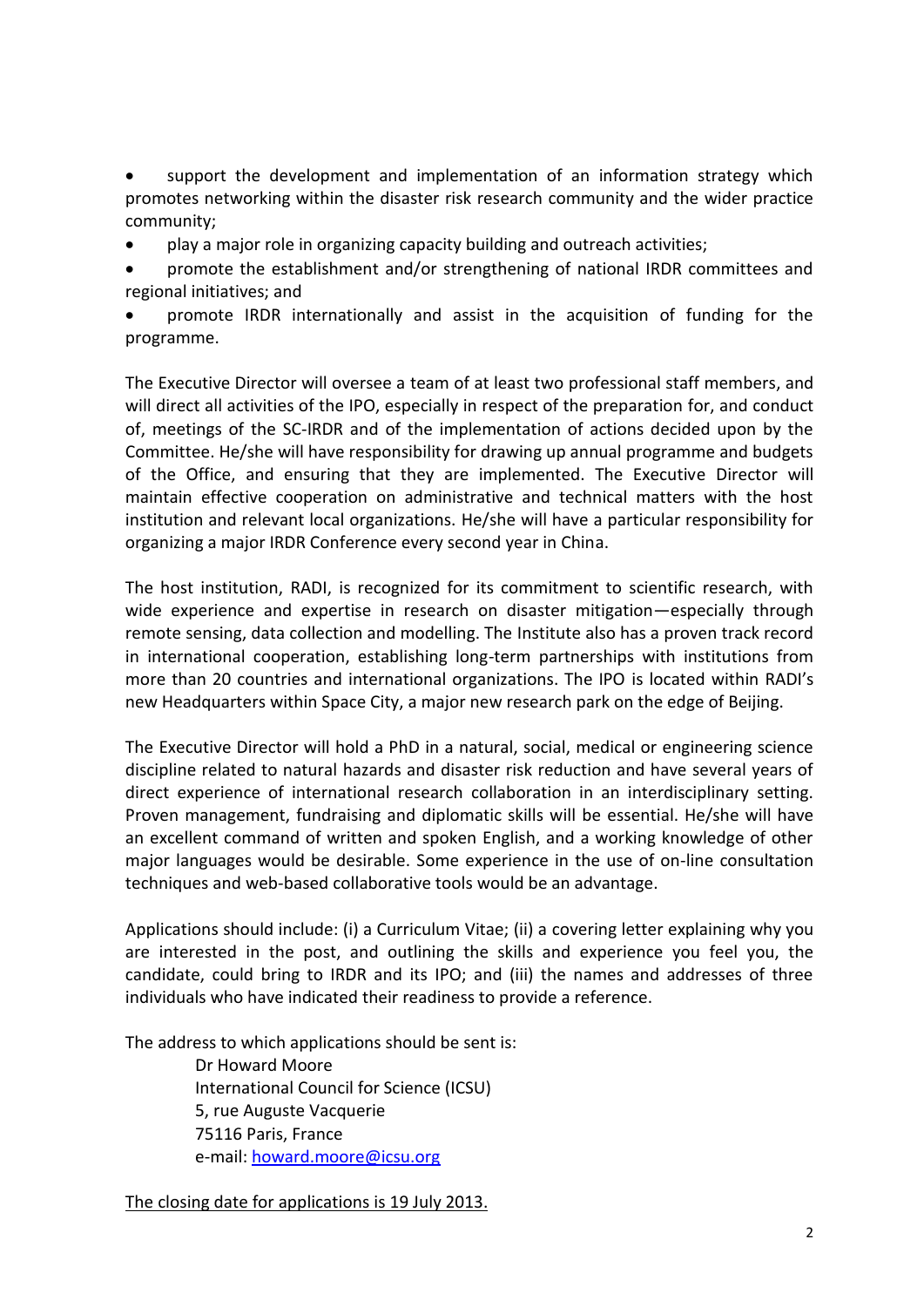support the development and implementation of an information strategy which promotes networking within the disaster risk research community and the wider practice community;

play a major role in organizing capacity building and outreach activities;

 promote the establishment and/or strengthening of national IRDR committees and regional initiatives; and

 promote IRDR internationally and assist in the acquisition of funding for the programme.

The Executive Director will oversee a team of at least two professional staff members, and will direct all activities of the IPO, especially in respect of the preparation for, and conduct of, meetings of the SC-IRDR and of the implementation of actions decided upon by the Committee. He/she will have responsibility for drawing up annual programme and budgets of the Office, and ensuring that they are implemented. The Executive Director will maintain effective cooperation on administrative and technical matters with the host institution and relevant local organizations. He/she will have a particular responsibility for organizing a major IRDR Conference every second year in China.

The host institution, RADI, is recognized for its commitment to scientific research, with wide experience and expertise in research on disaster mitigation—especially through remote sensing, data collection and modelling. The Institute also has a proven track record in international cooperation, establishing long-term partnerships with institutions from more than 20 countries and international organizations. The IPO is located within RADI's new Headquarters within Space City, a major new research park on the edge of Beijing.

The Executive Director will hold a PhD in a natural, social, medical or engineering science discipline related to natural hazards and disaster risk reduction and have several years of direct experience of international research collaboration in an interdisciplinary setting. Proven management, fundraising and diplomatic skills will be essential. He/she will have an excellent command of written and spoken English, and a working knowledge of other major languages would be desirable. Some experience in the use of on-line consultation techniques and web-based collaborative tools would be an advantage.

Applications should include: (i) a Curriculum Vitae; (ii) a covering letter explaining why you are interested in the post, and outlining the skills and experience you feel you, the candidate, could bring to IRDR and its IPO; and (iii) the names and addresses of three individuals who have indicated their readiness to provide a reference.

The address to which applications should be sent is:

Dr Howard Moore International Council for Science (ICSU) 5, rue Auguste Vacquerie 75116 Paris, France e-mail: [howard.moore@icsu.org](mailto:howard.moore@icsu.org)

The closing date for applications is 19 July 2013.